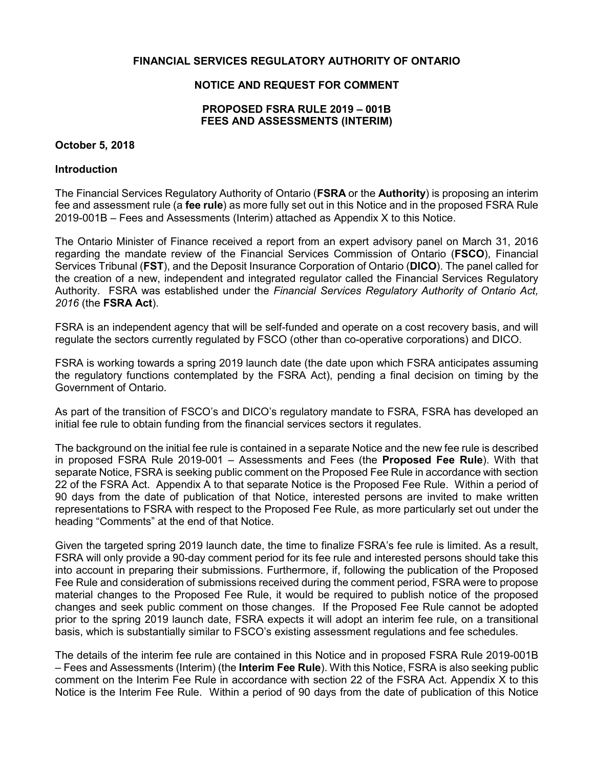### **FINANCIAL SERVICES REGULATORY AUTHORITY OF ONTARIO**

## **NOTICE AND REQUEST FOR COMMENT**

### **PROPOSED FSRA RULE 2019 – 001B FEES AND ASSESSMENTS (INTERIM)**

### **October 5, 2018**

### **Introduction**

 The Financial Services Regulatory Authority of Ontario (**FSRA** or the **Authority**) is proposing an interim fee and assessment rule (a **fee rule**) as more fully set out in this Notice and in the proposed FSRA Rule 2019-001B – Fees and Assessments (Interim) attached as Appendix X to this Notice.

 The Ontario Minister of Finance received a report from an expert advisory panel on March 31, 2016 regarding the mandate review of the Financial Services Commission of Ontario (**FSCO**), Financial Services Tribunal (**FST**), and the Deposit Insurance Corporation of Ontario (**DICO**). The panel called for the creation of a new, independent and integrated regulator called the Financial Services Regulatory Authority. FSRA was established under the *Financial Services Regulatory Authority of Ontario Act, 2016* (the **FSRA Act**).

 FSRA is an independent agency that will be self-funded and operate on a cost recovery basis, and will regulate the sectors currently regulated by FSCO (other than co-operative corporations) and DICO.

 FSRA is working towards a spring 2019 launch date (the date upon which FSRA anticipates assuming the regulatory functions contemplated by the FSRA Act), pending a final decision on timing by the Government of Ontario.

 As part of the transition of FSCO's and DICO's regulatory mandate to FSRA, FSRA has developed an initial fee rule to obtain funding from the financial services sectors it regulates.

 The background on the initial fee rule is contained in a separate Notice and the new fee rule is described in proposed FSRA Rule 2019-001 – Assessments and Fees (the **Proposed Fee Rule**). With that separate Notice, FSRA is seeking public comment on the Proposed Fee Rule in accordance with section 22 of the FSRA Act. Appendix A to that separate Notice is the Proposed Fee Rule. Within a period of 90 days from the date of publication of that Notice, interested persons are invited to make written representations to FSRA with respect to the Proposed Fee Rule, as more particularly set out under the heading "Comments" at the end of that Notice.

 Given the targeted spring 2019 launch date, the time to finalize FSRA's fee rule is limited. As a result, FSRA will only provide a 90-day comment period for its fee rule and interested persons should take this into account in preparing their submissions. Furthermore, if, following the publication of the Proposed Fee Rule and consideration of submissions received during the comment period, FSRA were to propose material changes to the Proposed Fee Rule, it would be required to publish notice of the proposed changes and seek public comment on those changes. If the Proposed Fee Rule cannot be adopted prior to the spring 2019 launch date, FSRA expects it will adopt an interim fee rule, on a transitional basis, which is substantially similar to FSCO's existing assessment regulations and fee schedules.

 The details of the interim fee rule are contained in this Notice and in proposed FSRA Rule 2019-001B – Fees and Assessments (Interim) (the **Interim Fee Rule**). With this Notice, FSRA is also seeking public comment on the Interim Fee Rule in accordance with section 22 of the FSRA Act. Appendix X to this Notice is the Interim Fee Rule. Within a period of 90 days from the date of publication of this Notice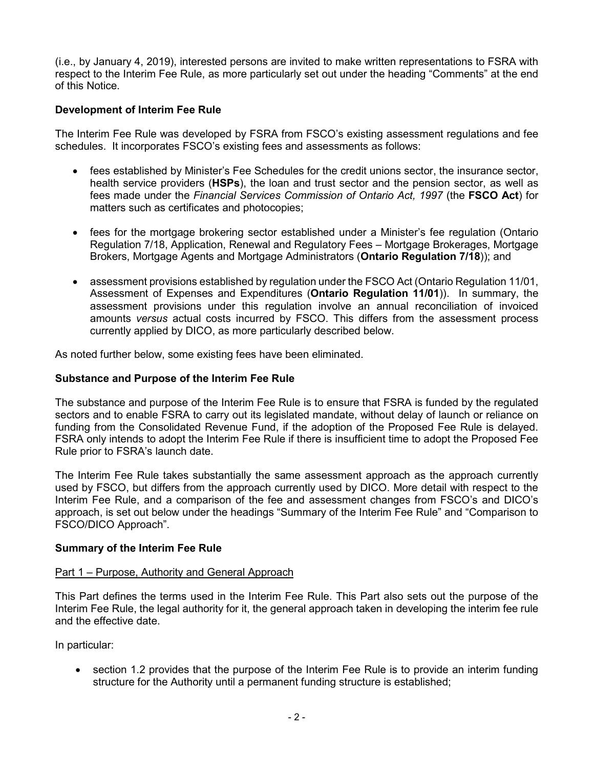(i.e., by January 4, 2019), interested persons are invited to make written representations to FSRA with respect to the Interim Fee Rule, as more particularly set out under the heading "Comments" at the end of this Notice.

## **Development of Interim Fee Rule**

 The Interim Fee Rule was developed by FSRA from FSCO's existing assessment regulations and fee schedules. It incorporates FSCO's existing fees and assessments as follows:

- fees established by Minister's Fee Schedules for the credit unions sector, the insurance sector, health service providers (**HSPs**), the loan and trust sector and the pension sector, as well as fees made under the *Financial Services Commission of Ontario Act, 1997* (the **FSCO Act**) for matters such as certificates and photocopies;
- fees for the mortgage brokering sector established under a Minister's fee regulation (Ontario Regulation 7/18, Application, Renewal and Regulatory Fees – Mortgage Brokerages, Mortgage Brokers, Mortgage Agents and Mortgage Administrators (**Ontario Regulation 7/18**)); and
- assessment provisions established by regulation under the FSCO Act (Ontario Regulation 11/01, Assessment of Expenses and Expenditures (**Ontario Regulation 11/01**)). In summary, the assessment provisions under this regulation involve an annual reconciliation of invoiced amounts *versus* actual costs incurred by FSCO. This differs from the assessment process currently applied by DICO, as more particularly described below.

As noted further below, some existing fees have been eliminated.

### **Substance and Purpose of the Interim Fee Rule**

 The substance and purpose of the Interim Fee Rule is to ensure that FSRA is funded by the regulated sectors and to enable FSRA to carry out its legislated mandate, without delay of launch or reliance on funding from the Consolidated Revenue Fund, if the adoption of the Proposed Fee Rule is delayed. FSRA only intends to adopt the Interim Fee Rule if there is insufficient time to adopt the Proposed Fee Rule prior to FSRA's launch date.

 The Interim Fee Rule takes substantially the same assessment approach as the approach currently used by FSCO, but differs from the approach currently used by DICO. More detail with respect to the Interim Fee Rule, and a comparison of the fee and assessment changes from FSCO's and DICO's approach, is set out below under the headings "Summary of the Interim Fee Rule" and "Comparison to FSCO/DICO Approach".

## **Summary of the Interim Fee Rule**

### Part 1 – Purpose, Authority and General Approach

 This Part defines the terms used in the Interim Fee Rule. This Part also sets out the purpose of the Interim Fee Rule, the legal authority for it, the general approach taken in developing the interim fee rule and the effective date.

In particular:

 section 1.2 provides that the purpose of the Interim Fee Rule is to provide an interim funding structure for the Authority until a permanent funding structure is established;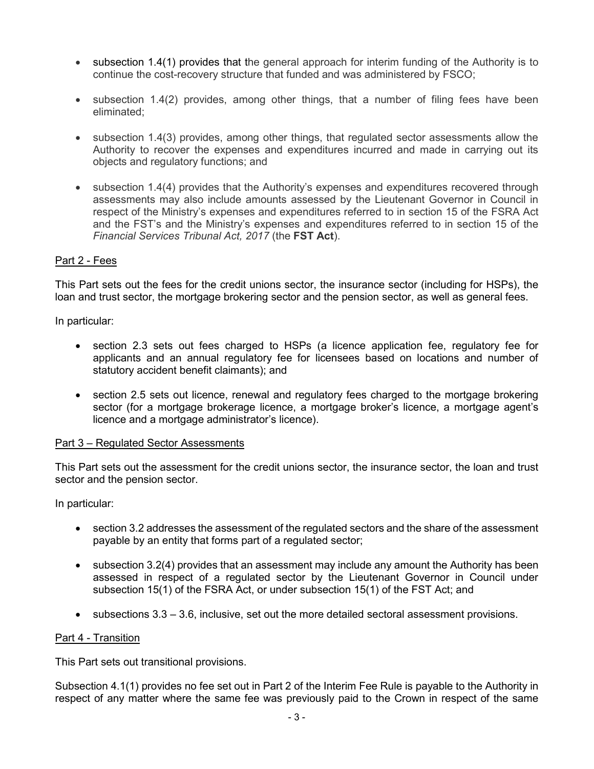- subsection 1.4(1) provides that the general approach for interim funding of the Authority is to continue the cost-recovery structure that funded and was administered by FSCO;
- subsection 1.4(2) provides, among other things, that a number of filing fees have been eliminated;
- subsection 1.4(3) provides, among other things, that regulated sector assessments allow the Authority to recover the expenses and expenditures incurred and made in carrying out its objects and regulatory functions; and
- subsection 1.4(4) provides that the Authority's expenses and expenditures recovered through assessments may also include amounts assessed by the Lieutenant Governor in Council in respect of the Ministry's expenses and expenditures referred to in section 15 of the FSRA Act and the FST's and the Ministry's expenses and expenditures referred to in section 15 of the  *Financial Services Tribunal Act, 2017* (the **FST Act**).

## Part 2 - Fees

 This Part sets out the fees for the credit unions sector, the insurance sector (including for HSPs), the loan and trust sector, the mortgage brokering sector and the pension sector, as well as general fees.

In particular:

- section 2.3 sets out fees charged to HSPs (a licence application fee, regulatory fee for applicants and an annual regulatory fee for licensees based on locations and number of statutory accident benefit claimants); and
- section 2.5 sets out licence, renewal and regulatory fees charged to the mortgage brokering sector (for a mortgage brokerage licence, a mortgage broker's licence, a mortgage agent's licence and a mortgage administrator's licence).

## Part 3 – Regulated Sector Assessments

 This Part sets out the assessment for the credit unions sector, the insurance sector, the loan and trust sector and the pension sector.

In particular:

- section 3.2 addresses the assessment of the regulated sectors and the share of the assessment payable by an entity that forms part of a regulated sector;
- subsection 3.2(4) provides that an assessment may include any amount the Authority has been assessed in respect of a regulated sector by the Lieutenant Governor in Council under subsection 15(1) of the FSRA Act, or under subsection 15(1) of the FST Act; and
- subsections 3.3 3.6, inclusive, set out the more detailed sectoral assessment provisions.

## Part 4 - Transition

This Part sets out transitional provisions.

 Subsection 4.1(1) provides no fee set out in Part 2 of the Interim Fee Rule is payable to the Authority in respect of any matter where the same fee was previously paid to the Crown in respect of the same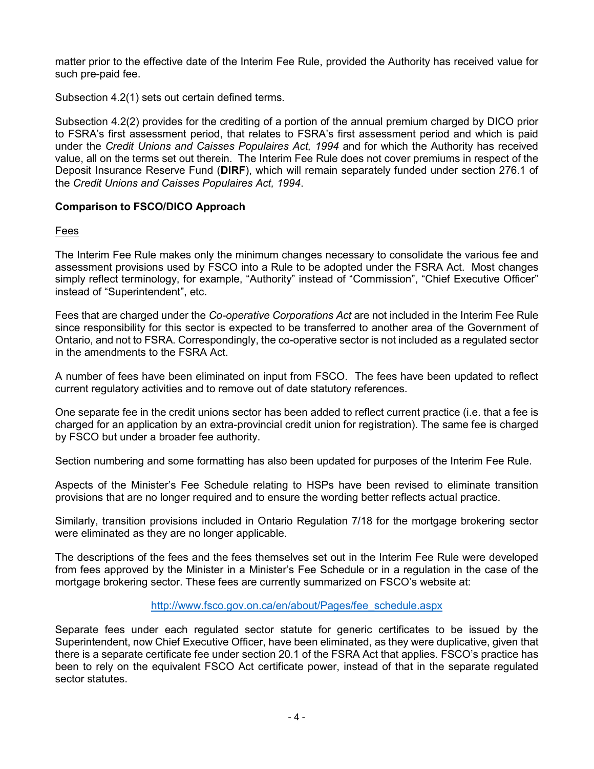matter prior to the effective date of the Interim Fee Rule, provided the Authority has received value for such pre-paid fee.

Subsection 4.2(1) sets out certain defined terms.

 Subsection 4.2(2) provides for the crediting of a portion of the annual premium charged by DICO prior to FSRA's first assessment period, that relates to FSRA's first assessment period and which is paid under the *Credit Unions and Caisses Populaires Act, 1994* and for which the Authority has received value, all on the terms set out therein. The Interim Fee Rule does not cover premiums in respect of the Deposit Insurance Reserve Fund (**DIRF**), which will remain separately funded under section 276.1 of the *Credit Unions and Caisses Populaires Act, 1994*.

## **Comparison to FSCO/DICO Approach**

## Fees

 The Interim Fee Rule makes only the minimum changes necessary to consolidate the various fee and assessment provisions used by FSCO into a Rule to be adopted under the FSRA Act. Most changes simply reflect terminology, for example, "Authority" instead of "Commission", "Chief Executive Officer" instead of "Superintendent", etc.

 Fees that are charged under the *Co-operative Corporations Act* are not included in the Interim Fee Rule since responsibility for this sector is expected to be transferred to another area of the Government of Ontario, and not to FSRA. Correspondingly, the co-operative sector is not included as a regulated sector in the amendments to the FSRA Act.

 A number of fees have been eliminated on input from FSCO. The fees have been updated to reflect current regulatory activities and to remove out of date statutory references.

 One separate fee in the credit unions sector has been added to reflect current practice (i.e. that a fee is charged for an application by an extra-provincial credit union for registration). The same fee is charged by FSCO but under a broader fee authority.

Section numbering and some formatting has also been updated for purposes of the Interim Fee Rule.

 Aspects of the Minister's Fee Schedule relating to HSPs have been revised to eliminate transition provisions that are no longer required and to ensure the wording better reflects actual practice.

 Similarly, transition provisions included in Ontario Regulation 7/18 for the mortgage brokering sector were eliminated as they are no longer applicable.

 The descriptions of the fees and the fees themselves set out in the Interim Fee Rule were developed from fees approved by the Minister in a Minister's Fee Schedule or in a regulation in the case of the mortgage brokering sector. These fees are currently summarized on FSCO's website at:

## [http://www.fsco.gov.on.ca/en/about/Pages/fee\\_schedule.aspx](http://www.fsco.gov.on.ca/en/about/Pages/fee_schedule.aspx)

 Separate fees under each regulated sector statute for generic certificates to be issued by the Superintendent, now Chief Executive Officer, have been eliminated, as they were duplicative, given that there is a separate certificate fee under section 20.1 of the FSRA Act that applies. FSCO's practice has been to rely on the equivalent FSCO Act certificate power, instead of that in the separate regulated sector statutes.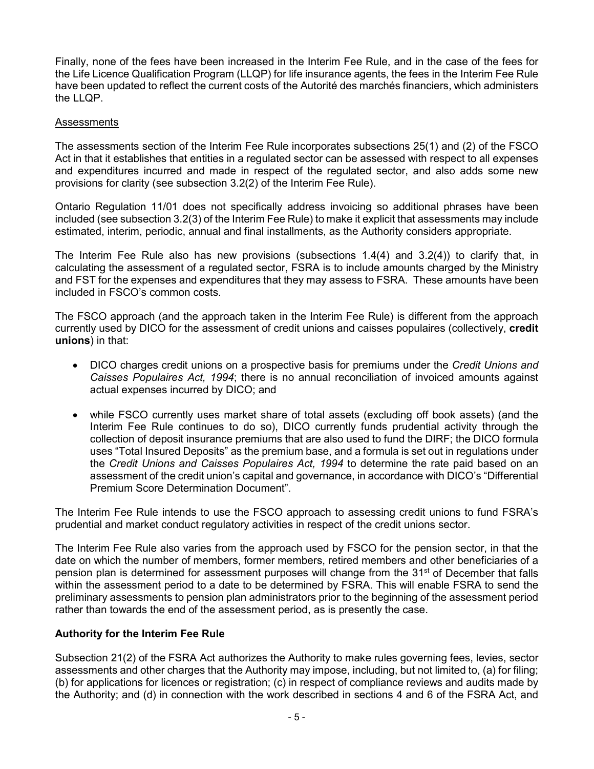Finally, none of the fees have been increased in the Interim Fee Rule, and in the case of the fees for the Life Licence Qualification Program (LLQP) for life insurance agents, the fees in the Interim Fee Rule have been updated to reflect the current costs of the Autorité des marchés financiers, which administers the LLQP.

### Assessments

 The assessments section of the Interim Fee Rule incorporates subsections 25(1) and (2) of the FSCO Act in that it establishes that entities in a regulated sector can be assessed with respect to all expenses and expenditures incurred and made in respect of the regulated sector, and also adds some new provisions for clarity (see subsection 3.2(2) of the Interim Fee Rule).

 Ontario Regulation 11/01 does not specifically address invoicing so additional phrases have been included (see subsection 3.2(3) of the Interim Fee Rule) to make it explicit that assessments may include estimated, interim, periodic, annual and final installments, as the Authority considers appropriate.

 The Interim Fee Rule also has new provisions (subsections 1.4(4) and 3.2(4)) to clarify that, in calculating the assessment of a regulated sector, FSRA is to include amounts charged by the Ministry and FST for the expenses and expenditures that they may assess to FSRA. These amounts have been included in FSCO's common costs.

 The FSCO approach (and the approach taken in the Interim Fee Rule) is different from the approach currently used by DICO for the assessment of credit unions and caisses populaires (collectively, **credit unions**) in that:

- DICO charges credit unions on a prospective basis for premiums under the *Credit Unions and Caisses Populaires Act, 1994*; there is no annual reconciliation of invoiced amounts against actual expenses incurred by DICO; and
- while FSCO currently uses market share of total assets (excluding off book assets) (and the Interim Fee Rule continues to do so), DICO currently funds prudential activity through the collection of deposit insurance premiums that are also used to fund the DIRF; the DICO formula uses "Total Insured Deposits" as the premium base, and a formula is set out in regulations under the *Credit Unions and Caisses Populaires Act, 1994* to determine the rate paid based on an assessment of the credit union's capital and governance, in accordance with DICO's "Differential Premium Score Determination Document".

 The Interim Fee Rule intends to use the FSCO approach to assessing credit unions to fund FSRA's prudential and market conduct regulatory activities in respect of the credit unions sector.

 The Interim Fee Rule also varies from the approach used by FSCO for the pension sector, in that the date on which the number of members, former members, retired members and other beneficiaries of a pension plan is determined for assessment purposes will change from the 31<sup>st</sup> of December that falls within the assessment period to a date to be determined by FSRA. This will enable FSRA to send the preliminary assessments to pension plan administrators prior to the beginning of the assessment period rather than towards the end of the assessment period, as is presently the case.

## **Authority for the Interim Fee Rule**

 Subsection 21(2) of the FSRA Act authorizes the Authority to make rules governing fees, levies, sector assessments and other charges that the Authority may impose, including, but not limited to, (a) for filing; (b) for applications for licences or registration; (c) in respect of compliance reviews and audits made by the Authority; and (d) in connection with the work described in sections 4 and 6 of the FSRA Act, and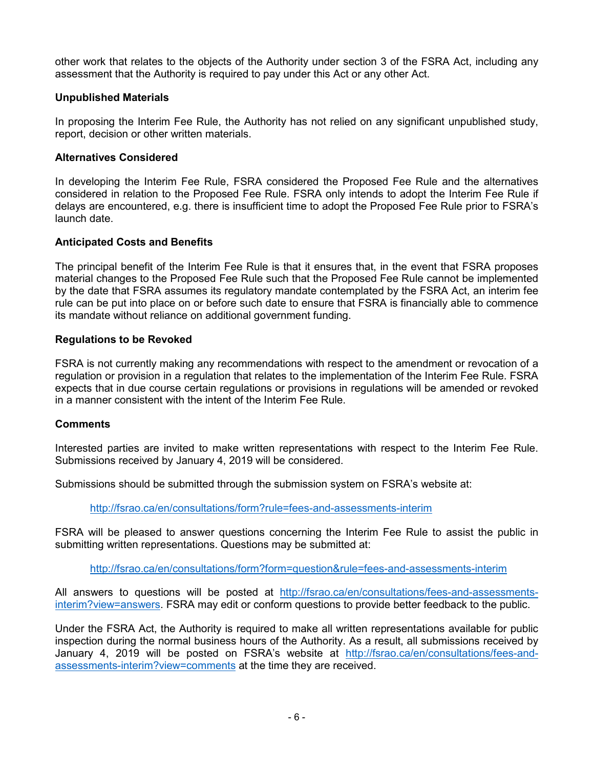other work that relates to the objects of the Authority under section 3 of the FSRA Act, including any assessment that the Authority is required to pay under this Act or any other Act.

## **Unpublished Materials**

 In proposing the Interim Fee Rule, the Authority has not relied on any significant unpublished study, report, decision or other written materials.

## **Alternatives Considered**

 In developing the Interim Fee Rule, FSRA considered the Proposed Fee Rule and the alternatives considered in relation to the Proposed Fee Rule. FSRA only intends to adopt the Interim Fee Rule if delays are encountered, e.g. there is insufficient time to adopt the Proposed Fee Rule prior to FSRA's launch date.

## **Anticipated Costs and Benefits**

 The principal benefit of the Interim Fee Rule is that it ensures that, in the event that FSRA proposes material changes to the Proposed Fee Rule such that the Proposed Fee Rule cannot be implemented by the date that FSRA assumes its regulatory mandate contemplated by the FSRA Act, an interim fee rule can be put into place on or before such date to ensure that FSRA is financially able to commence its mandate without reliance on additional government funding.

## **Regulations to be Revoked**

 FSRA is not currently making any recommendations with respect to the amendment or revocation of a regulation or provision in a regulation that relates to the implementation of the Interim Fee Rule. FSRA expects that in due course certain regulations or provisions in regulations will be amended or revoked in a manner consistent with the intent of the Interim Fee Rule.

### **Comments**

 Interested parties are invited to make written representations with respect to the Interim Fee Rule. Submissions received by January 4, 2019 will be considered.

Submissions should be submitted through the submission system on FSRA's website at:

<http://fsrao.ca/en/consultations/form?rule=fees-and-assessments-interim>

 FSRA will be pleased to answer questions concerning the Interim Fee Rule to assist the public in submitting written representations. Questions may be submitted at:

<http://fsrao.ca/en/consultations/form?form=question&rule=fees-and-assessments-interim>

All answers to questions will be posted at [http://fsrao.ca/en/consultations/fees-and-assessments-](http://fsrao.ca/en/consultations/fees-and-assessments-interim?view=answers)<u>interim?view=answers</u>. FSRA may edit or conform questions to provide better feedback to the public.

 Under the FSRA Act, the Authority is required to make all written representations available for public inspection during the normal business hours of the Authority. As a result, all submissions received by January 4, 2019 will be posted on FSRA's website at [http://fsrao.ca/en/consultations/fees-and](http://fsrao.ca/en/consultations/fees-and-assessments-interim?view=comments)[assessments-interim?view=comments](http://fsrao.ca/en/consultations/fees-and-assessments-interim?view=comments) at the time they are received.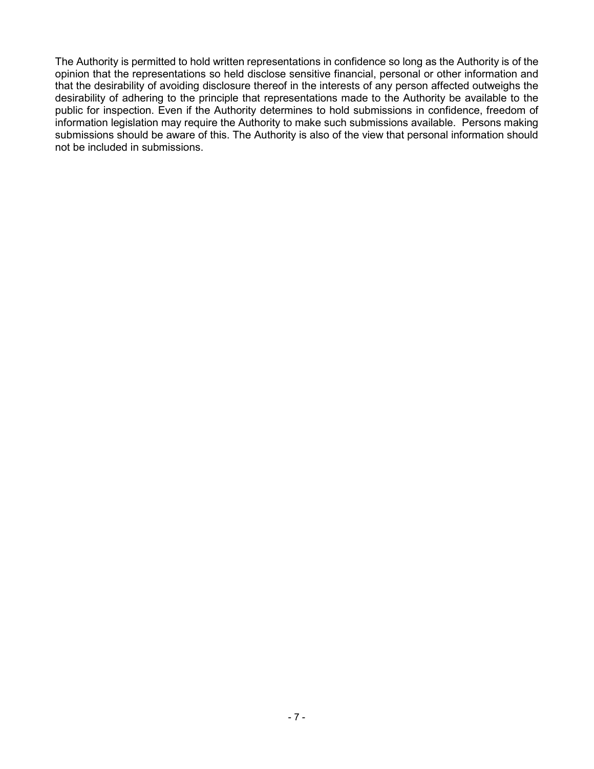The Authority is permitted to hold written representations in confidence so long as the Authority is of the opinion that the representations so held disclose sensitive financial, personal or other information and that the desirability of avoiding disclosure thereof in the interests of any person affected outweighs the desirability of adhering to the principle that representations made to the Authority be available to the public for inspection. Even if the Authority determines to hold submissions in confidence, freedom of information legislation may require the Authority to make such submissions available. Persons making submissions should be aware of this. The Authority is also of the view that personal information should not be included in submissions.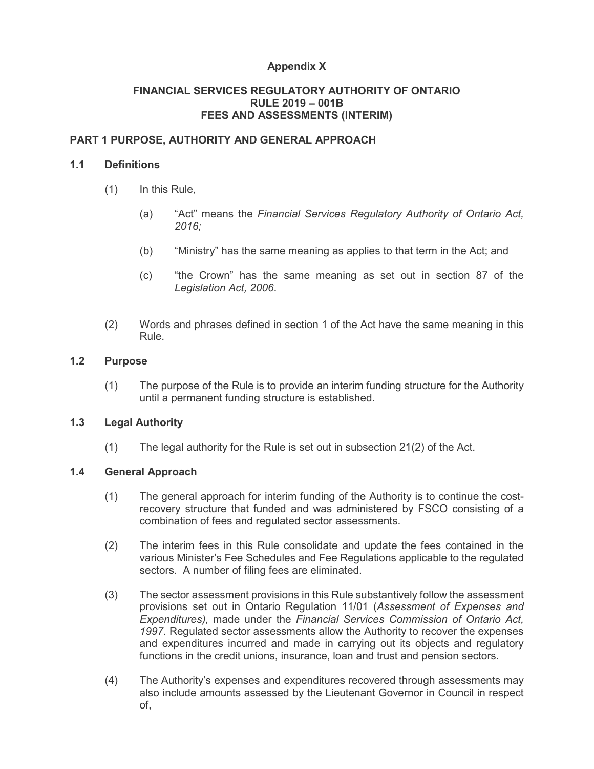# **Appendix X**

## **RULE 2019 – 001B FEES AND ASSESSMENTS (INTERIM) FINANCIAL SERVICES REGULATORY AUTHORITY OF ONTARIO**

# **PART 1 PURPOSE, AUTHORITY AND GENERAL APPROACH**

## **1.1 Definitions**

- $(1)$ In this Rule,
	- $(a)$ "Act" means the *Financial Services Regulatory Authority of Ontario Act, 2016;*
	- (b) "Ministry" has the same meaning as applies to that term in the Act; and
	- $(c)$  *Legislation Act, 2006*. "the Crown" has the same meaning as set out in section 87 of the
- $(2)$ Words and phrases defined in section 1 of the Act have the same meaning in this Rule.

### **1.2 Purpose**

 $(1)$  until a permanent funding structure is established. The purpose of the Rule is to provide an interim funding structure for the Authority

#### $1.3$ **1.3 Legal Authority**

 $(1)$ The legal authority for the Rule is set out in subsection  $21(2)$  of the Act.

## **1.4 General Approach**

- $(1)$  recovery structure that funded and was administered by FSCO consisting of a combination of fees and regulated sector assessments. The general approach for interim funding of the Authority is to continue the cost-
- $(2)$  various Minister's Fee Schedules and Fee Regulations applicable to the regulated sectors. A number of filing fees are eliminated. The interim fees in this Rule consolidate and update the fees contained in the
- $(3)$  provisions set out in Ontario Regulation 11/01 (*Assessment of Expenses and Expenditures),* made under the *Financial Services Commission of Ontario Act, 1997.* Regulated sector assessments allow the Authority to recover the expenses and expenditures incurred and made in carrying out its objects and regulatory functions in the credit unions, insurance, loan and trust and pension sectors. The sector assessment provisions in this Rule substantively follow the assessment
- $(4)$  also include amounts assessed by the Lieutenant Governor in Council in respect The Authority's expenses and expenditures recovered through assessments may of,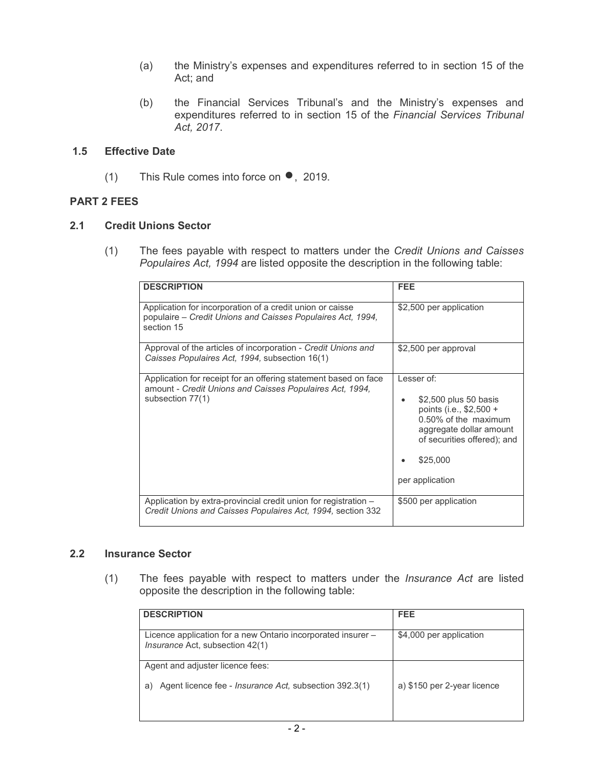- $(a)$  Act; and the Ministry's expenses and expenditures referred to in section 15 of the
- $(b)$  expenditures referred to in section 15 of the *Financial Services Tribunal*  the Financial Services Tribunal's and the Ministry's expenses and *Act, 2017*.

## **1.5 Effective Date**

(1) This Rule comes into force on  $\bullet$ , 2019.

## **PART 2 FEES**

#### $2.1$ **2.1 Credit Unions Sector**

 $(1)$  *Populaires Act, 1994* are listed opposite the description in the following table: (1) The fees payable with respect to matters under the *Credit Unions and Caisses* 

| <b>DESCRIPTION</b>                                                                                                                              | <b>FEE</b>                                                                                                                                                                      |
|-------------------------------------------------------------------------------------------------------------------------------------------------|---------------------------------------------------------------------------------------------------------------------------------------------------------------------------------|
|                                                                                                                                                 |                                                                                                                                                                                 |
| Application for incorporation of a credit union or caisse<br>populaire – Credit Unions and Caisses Populaires Act, 1994,<br>section 15          | \$2,500 per application                                                                                                                                                         |
| Approval of the articles of incorporation - Credit Unions and<br>Caisses Populaires Act. 1994, subsection 16(1)                                 | \$2,500 per approval                                                                                                                                                            |
| Application for receipt for an offering statement based on face<br>amount - Credit Unions and Caisses Populaires Act, 1994,<br>subsection 77(1) | Lesser of:<br>\$2,500 plus 50 basis<br>points (i.e., \$2,500 +<br>0.50% of the maximum<br>aggregate dollar amount<br>of securities offered); and<br>\$25,000<br>per application |
| Application by extra-provincial credit union for registration -<br>Credit Unions and Caisses Populaires Act, 1994, section 332                  | \$500 per application                                                                                                                                                           |

#### **2.2 Insurance Sector**

 $(1)$  opposite the description in the following table: (1) The fees payable with respect to matters under the *Insurance Act* are listed

| <b>DESCRIPTION</b>                                                                              | <b>FEE</b>                  |
|-------------------------------------------------------------------------------------------------|-----------------------------|
| Licence application for a new Ontario incorporated insurer -<br>Insurance Act, subsection 42(1) | \$4,000 per application     |
| Agent and adjuster licence fees:                                                                |                             |
| Agent licence fee - <i>Insurance Act</i> , subsection 392.3(1)<br>a)                            | a) \$150 per 2-year licence |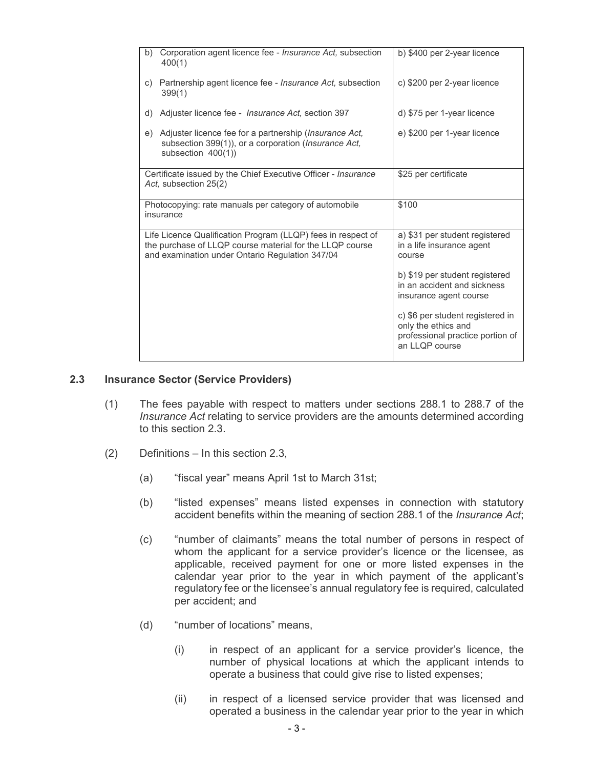| b) | Corporation agent licence fee - <i>Insurance Act</i> , subsection<br>400(1)                                                                                                 | b) \$400 per 2-year licence                                                                                   |
|----|-----------------------------------------------------------------------------------------------------------------------------------------------------------------------------|---------------------------------------------------------------------------------------------------------------|
| C) | Partnership agent licence fee - <i>Insurance Act</i> , subsection<br>399(1)                                                                                                 | c) \$200 per 2-year licence                                                                                   |
| d) | Adjuster licence fee - <i>Insurance Act</i> , section 397                                                                                                                   | d) \$75 per 1-year licence                                                                                    |
| e) | Adjuster licence fee for a partnership ( <i>Insurance Act</i> ,<br>subsection 399(1)), or a corporation (Insurance Act,<br>subsection $400(1)$ )                            | e) \$200 per 1-year licence                                                                                   |
|    | Certificate issued by the Chief Executive Officer - Insurance<br>Act. subsection 25(2)                                                                                      | \$25 per certificate                                                                                          |
|    | Photocopying: rate manuals per category of automobile<br>insurance                                                                                                          | \$100                                                                                                         |
|    | Life Licence Qualification Program (LLQP) fees in respect of<br>the purchase of LLQP course material for the LLQP course<br>and examination under Ontario Regulation 347/04 | a) \$31 per student registered<br>in a life insurance agent<br>course                                         |
|    |                                                                                                                                                                             | b) \$19 per student registered<br>in an accident and sickness<br>insurance agent course                       |
|    |                                                                                                                                                                             | c) \$6 per student registered in<br>only the ethics and<br>professional practice portion of<br>an LLOP course |

#### **2.3 Insurance Sector (Service Providers)**

- $(1)$  *Insurance Act* relating to service providers are the amounts determined according The fees payable with respect to matters under sections 288.1 to 288.7 of the to this section 2.3.
- (2) Definitions In this section 2.3,
	- $(a)$ "fiscal year" means April 1st to March 31st;
	- $(b)$  accident benefits within the meaning of section 288.1 of the *Insurance Act*; "listed expenses" means listed expenses in connection with statutory
	- (c) "number of claimants" means the total number of persons in respect of whom the applicant for a service provider's licence or the licensee, as applicable, received payment for one or more listed expenses in the calendar year prior to the year in which payment of the applicant's regulatory fee or the licensee's annual regulatory fee is required, calculated per accident; and
	- (d) "number of locations" means,
		- $(i)$  number of physical locations at which the applicant intends to operate a business that could give rise to listed expenses; in respect of an applicant for a service provider's licence, the
		- $(ii)$  operated a business in the calendar year prior to the year in which in respect of a licensed service provider that was licensed and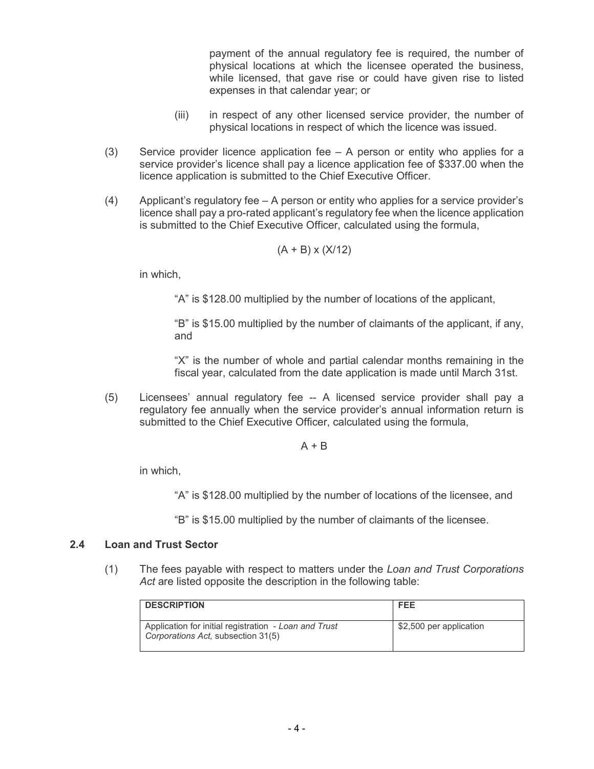payment of the annual regulatory fee is required, the number of physical locations at which the licensee operated the business, while licensed, that gave rise or could have given rise to listed expenses in that calendar year; or

- $(iii)$  physical locations in respect of which the licence was issued. in respect of any other licensed service provider, the number of
- (3) Service provider licence application fee A person or entity who applies for a service provider's licence shall pay a licence application fee of \$337.00 when the licence application is submitted to the Chief Executive Officer.
- (4) Applicant's regulatory fee A person or entity who applies for a service provider's licence shall pay a pro-rated applicant's regulatory fee when the licence application is submitted to the Chief Executive Officer, calculated using the formula,

$$
(A + B) \times (X/12)
$$

in which,

"A" is \$128.00 multiplied by the number of locations of the applicant,

 "B" is \$15.00 multiplied by the number of claimants of the applicant, if any, and

and<br>"X" is the number of whole and partial calendar months remaining in the fiscal year, calculated from the date application is made until March 31st.

 (5) Licensees' annual regulatory fee -- A licensed service provider shall pay a regulatory fee annually when the service provider's annual information return is submitted to the Chief Executive Officer, calculated using the formula,

A + B

in which,

"A" is \$128.00 multiplied by the number of locations of the licensee, and

"B" is \$15.00 multiplied by the number of claimants of the licensee.

#### **2.4 Loan and Trust Sector**

 $(1)$  *Act* are listed opposite the description in the following table: (1) The fees payable with respect to matters under the *Loan and Trust Corporations* 

| <b>DESCRIPTION</b>                                                                          | <b>FEE</b>              |
|---------------------------------------------------------------------------------------------|-------------------------|
| Application for initial registration - Loan and Trust<br>Corporations Act, subsection 31(5) | \$2,500 per application |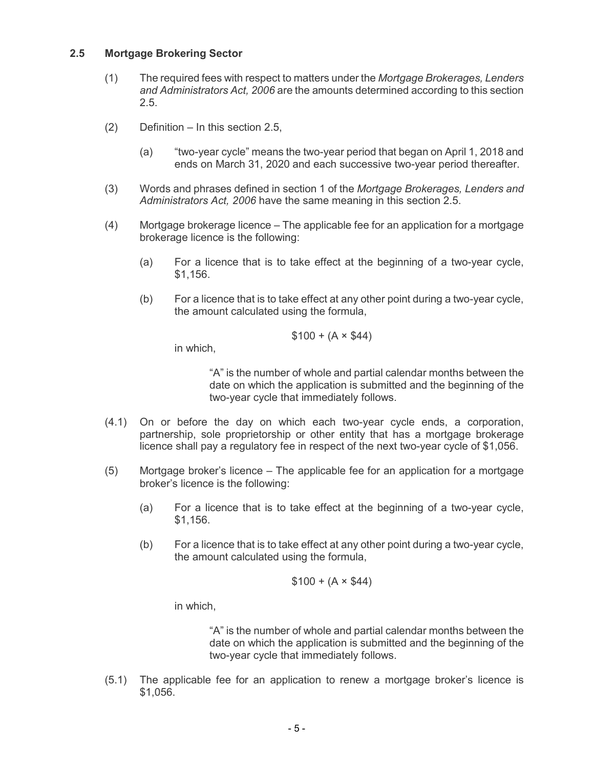#### **2.5 Mortgage Brokering Sector**

- $(1)$  *and Administrators Act, 2006* are the amounts determined according to this section (1) The required fees with respect to matters under the *Mortgage Brokerages, Lenders*  2.5.
- $(2)$ Definition – In this section 2.5,
	- (a) "two-year cycle" means the two-year period that began on April 1, 2018 and ends on March 31, 2020 and each successive two-year period thereafter.
- $(3)$  *Administrators Act, 2006* have the same meaning in this section 2.5. (3) Words and phrases defined in section 1 of the *Mortgage Brokerages, Lenders and*
- $(4)$  brokerage licence is the following: Mortgage brokerage licence  $-$  The applicable fee for an application for a mortgage
	- $(a)$ For a licence that is to take effect at the beginning of a two-year cycle, \$1,156.
	- $(b)$  the amount calculated using the formula, For a licence that is to take effect at any other point during a two-year cycle,

$$
$100 + (A \times $44)
$$

in which,

 "A" is the number of whole and partial calendar months between the date on which the application is submitted and the beginning of the two-year cycle that immediately follows.

- $(4.1)$  partnership, sole proprietorship or other entity that has a mortgage brokerage licence shall pay a regulatory fee in respect of the next two-year cycle of \$1,056. On or before the day on which each two-year cycle ends, a corporation,
- $(5)$  broker's licence is the following: Mortgage broker's licence – The applicable fee for an application for a mortgage
	- $(a)$ For a licence that is to take effect at the beginning of a two-year cycle, \$1,156.
	- $(b)$  the amount calculated using the formula, For a licence that is to take effect at any other point during a two-year cycle,

$$
$100 + (A \times $44)
$$

in which,

 "A" is the number of whole and partial calendar months between the date on which the application is submitted and the beginning of the two-year cycle that immediately follows.

 $(5.1)$ The applicable fee for an application to renew a mortgage broker's licence is \$1,056.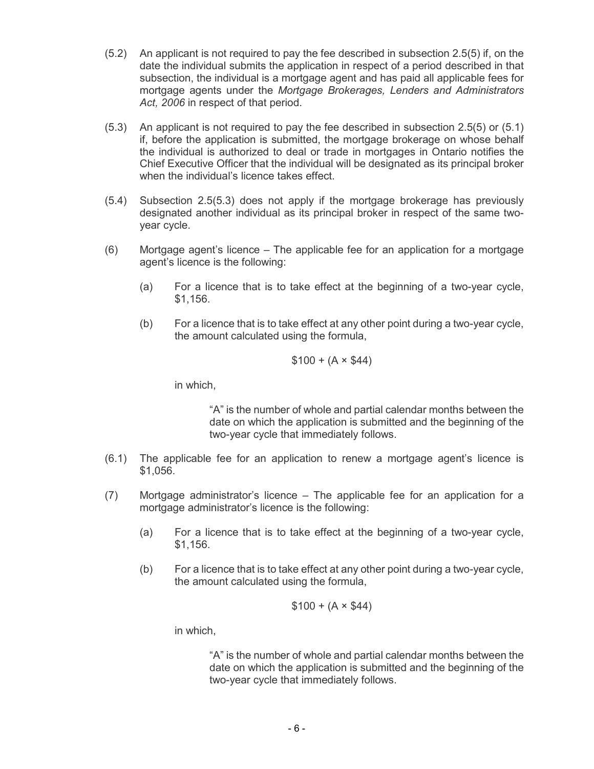- $(5.2)$  date the individual submits the application in respect of a period described in that subsection, the individual is a mortgage agent and has paid all applicable fees for mortgage agents under the *Mortgage Brokerages, Lenders and Administrators Act, 2006* in respect of that period. An applicant is not required to pay the fee described in subsection 2.5(5) if, on the
- $(5.3)$  if, before the application is submitted, the mortgage brokerage on whose behalf the individual is authorized to deal or trade in mortgages in Ontario notifies the Chief Executive Officer that the individual will be designated as its principal broker An applicant is not required to pay the fee described in subsection  $2.5(5)$  or  $(5.1)$ when the individual's licence takes effect.
- $(5.4)$  designated another individual as its principal broker in respect of the same two- year cycle. Subsection 2.5(5.3) does not apply if the mortgage brokerage has previously
- $(6)$  agent's licence is the following: Mortgage agent's licence  $-$  The applicable fee for an application for a mortgage
	- $(a)$ For a licence that is to take effect at the beginning of a two-year cycle, \$1,156.
	- $(b)$  the amount calculated using the formula, For a licence that is to take effect at any other point during a two-year cycle,

$$
$100 + (A \times $44)
$$

in which,

 "A" is the number of whole and partial calendar months between the date on which the application is submitted and the beginning of the two-year cycle that immediately follows.

- $(6.1)$ The applicable fee for an application to renew a mortgage agent's licence is \$1,056.
- $(7)$  mortgage administrator's licence is the following: Mortgage administrator's licence  $-$  The applicable fee for an application for a
	- $(a)$ For a licence that is to take effect at the beginning of a two-year cycle, \$1,156.
	- $(b)$  the amount calculated using the formula, For a licence that is to take effect at any other point during a two-year cycle,

$$
$100 + (A \times $44)
$$

in which,

 "A" is the number of whole and partial calendar months between the date on which the application is submitted and the beginning of the two-year cycle that immediately follows.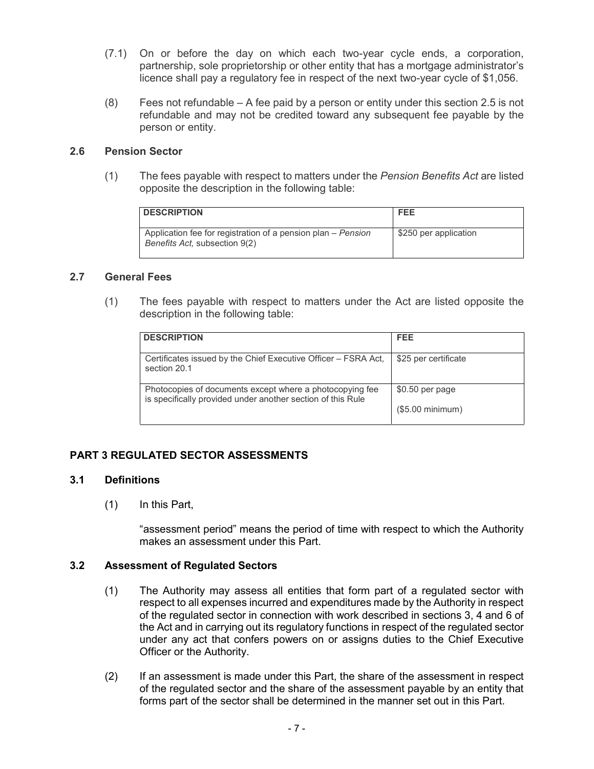- $(7.1)$  partnership, sole proprietorship or other entity that has a mortgage administrator's licence shall pay a regulatory fee in respect of the next two-year cycle of \$1,056. (7.1) On or before the day on which each two-year cycle ends, a corporation,
- $(8)$  refundable and may not be credited toward any subsequent fee payable by the person or entity. Fees not refundable  $- A$  fee paid by a person or entity under this section 2.5 is not

#### **2.6 Pension Sector**

 $(1)$  opposite the description in the following table: (1) The fees payable with respect to matters under the *Pension Benefits Act* are listed

| <b>DESCRIPTION</b>                                                                            | <b>FEE</b>            |
|-----------------------------------------------------------------------------------------------|-----------------------|
| Application fee for registration of a pension plan – Pension<br>Benefits Act, subsection 9(2) | \$250 per application |

#### **2.7 General Fees**

 $(1)$  description in the following table: The fees payable with respect to matters under the Act are listed opposite the

| <b>DESCRIPTION</b>                                                                                                      | <b>FEE</b>           |
|-------------------------------------------------------------------------------------------------------------------------|----------------------|
| Certificates issued by the Chief Executive Officer – FSRA Act,<br>section 20.1                                          | \$25 per certificate |
| Photocopies of documents except where a photocopying fee<br>is specifically provided under another section of this Rule | \$0.50 per page      |
|                                                                                                                         | (\$5.00 minimum)     |

## **PART 3 REGULATED SECTOR ASSESSMENTS**

#### $3.1$ **3.1 Definitions**

 $(1)$ In this Part,

> "assessment period" means the period of time with respect to which the Authority makes an assessment under this Part.

#### $3.2$ **3.2 Assessment of Regulated Sectors**

- $(1)$  respect to all expenses incurred and expenditures made by the Authority in respect of the regulated sector in connection with work described in sections 3, 4 and 6 of the Act and in carrying out its regulatory functions in respect of the regulated sector under any act that confers powers on or assigns duties to the Chief Executive Officer or the Authority. The Authority may assess all entities that form part of a regulated sector with
- $(2)$  of the regulated sector and the share of the assessment payable by an entity that forms part of the sector shall be determined in the manner set out in this Part. If an assessment is made under this Part, the share of the assessment in respect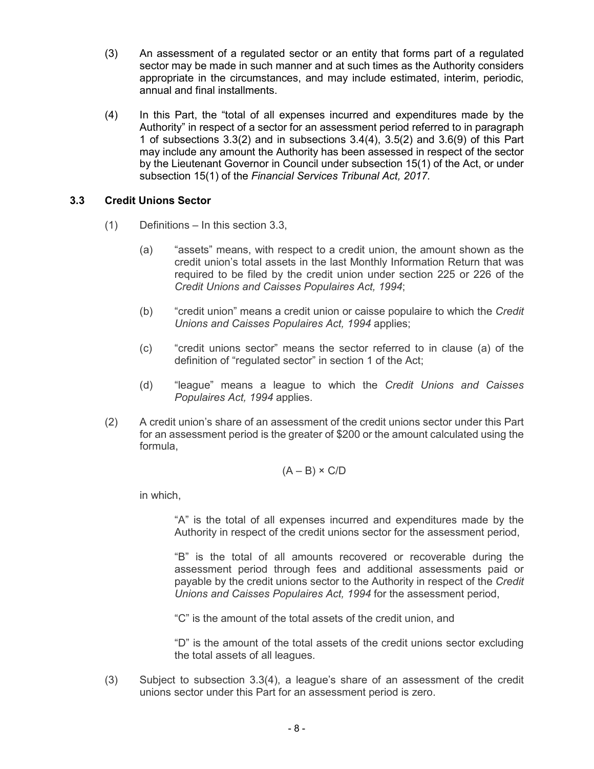- $(3)$  sector may be made in such manner and at such times as the Authority considers appropriate in the circumstances, and may include estimated, interim, periodic, annual and final installments. An assessment of a regulated sector or an entity that forms part of a regulated
- $(4)$  Authority" in respect of a sector for an assessment period referred to in paragraph 1 of subsections 3.3(2) and in subsections 3.4(4), 3.5(2) and 3.6(9) of this Part may include any amount the Authority has been assessed in respect of the sector by the Lieutenant Governor in Council under subsection 15(1) of the Act, or under subsection 15(1) of the *Financial Services Tribunal Act, 2017.*  In this Part, the "total of all expenses incurred and expenditures made by the

#### **3.3 Credit Unions Sector**

- $(1)$ Definitions – In this section 3.3,
	- (a) "assets" means, with respect to a credit union, the amount shown as the credit union's total assets in the last Monthly Information Return that was required to be filed by the credit union under section 225 or 226 of the *Credit Unions and Caisses Populaires Act, 1994*;
	- $(b)$  *Unions and Caisses Populaires Act, 1994* applies; "credit union" means a credit union or caisse populaire to which the *Credit*
	- $(c)$  definition of "regulated sector" in section 1 of the Act; "credit unions sector" means the sector referred to in clause (a) of the
	- (d) "league" means a league to which the *Credit Unions and Caisses Populaires Act, 1994* applies.
- $(2)$  for an assessment period is the greater of \$200 or the amount calculated using the (2) A credit union's share of an assessment of the credit unions sector under this Part formula,

$$
(A - B) \times C/D
$$

in which,

 "A" is the total of all expenses incurred and expenditures made by the Authority in respect of the credit unions sector for the assessment period,

 "B" is the total of all amounts recovered or recoverable during the assessment period through fees and additional assessments paid or payable by the credit unions sector to the Authority in respect of the *Credit Unions and Caisses Populaires Act, 1994* for the assessment period,

"C" is the amount of the total assets of the credit union, and

 "D" is the amount of the total assets of the credit unions sector excluding the total assets of all leagues.

 $(3)$  unions sector under this Part for an assessment period is zero. Subject to subsection  $3.3(4)$ , a league's share of an assessment of the credit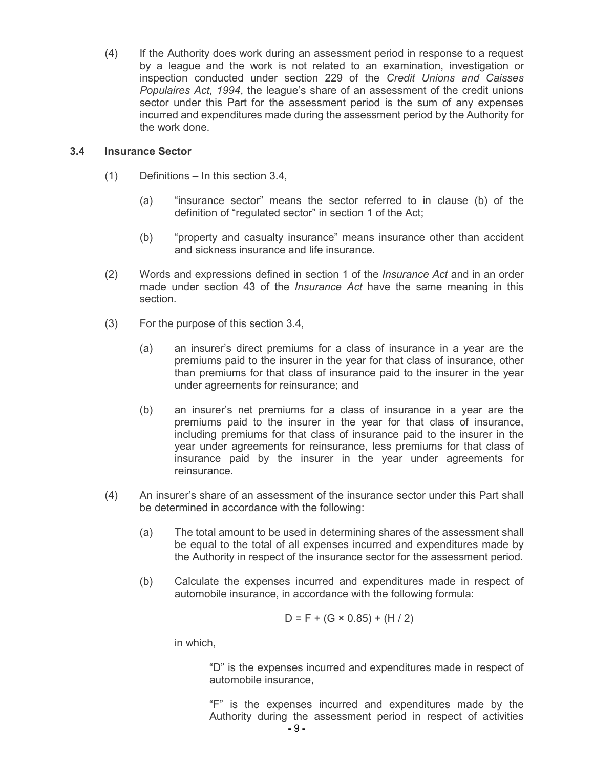$(4)$  by a league and the work is not related to an examination, investigation or inspection conducted under section 229 of the *Credit Unions and Caisses Populaires Act, 1994*, the league's share of an assessment of the credit unions sector under this Part for the assessment period is the sum of any expenses incurred and expenditures made during the assessment period by the Authority for the work done. If the Authority does work during an assessment period in response to a request

#### $3.4$ **3.4 Insurance Sector**

- $(1)$ Definitions – In this section 3.4,
	- (a) "insurance sector" means the sector referred to in clause (b) of the definition of "regulated sector" in section 1 of the Act;
	- (b) "property and casualty insurance" means insurance other than accident and sickness insurance and life insurance.
- $(2)$  made under section 43 of the *Insurance Act* have the same meaning in this section. (2) Words and expressions defined in section 1 of the *Insurance Act* and in an order
- $(3)$ For the purpose of this section 3.4,
	- $(a)$  premiums paid to the insurer in the year for that class of insurance, other than premiums for that class of insurance paid to the insurer in the year under agreements for reinsurance; and an insurer's direct premiums for a class of insurance in a year are the
	- $(b)$  premiums paid to the insurer in the year for that class of insurance, including premiums for that class of insurance paid to the insurer in the year under agreements for reinsurance, less premiums for that class of insurance paid by the insurer in the year under agreements for reinsurance. an insurer's net premiums for a class of insurance in a year are the
- $(4)$  be determined in accordance with the following: An insurer's share of an assessment of the insurance sector under this Part shall
	- $(a)$  be equal to the total of all expenses incurred and expenditures made by the Authority in respect of the insurance sector for the assessment period. The total amount to be used in determining shares of the assessment shall
	- $(b)$  automobile insurance, in accordance with the following formula: Calculate the expenses incurred and expenditures made in respect of

$$
D = F + (G \times 0.85) + (H / 2)
$$

in which,

 "D" is the expenses incurred and expenditures made in respect of automobile insurance,

 "F" is the expenses incurred and expenditures made by the Authority during the assessment period in respect of activities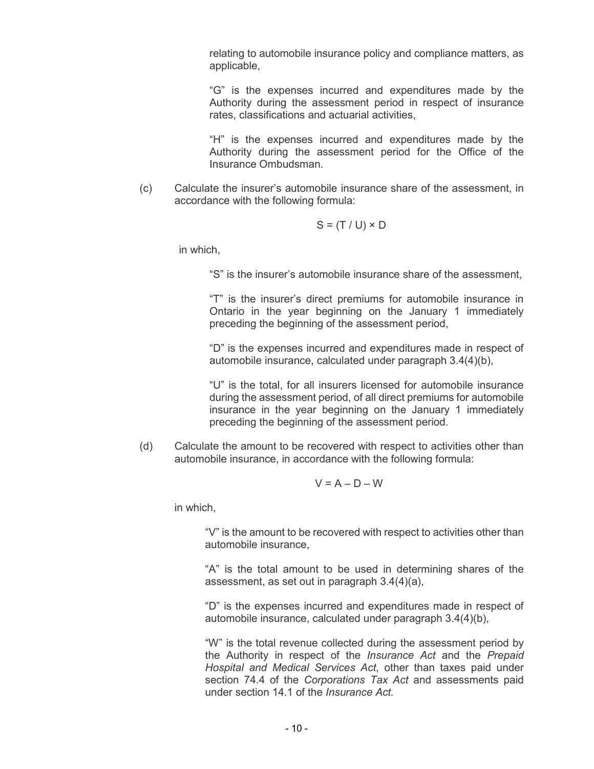relating to automobile insurance policy and compliance matters, as applicable,

 "G" is the expenses incurred and expenditures made by the Authority during the assessment period in respect of insurance rates, classifications and actuarial activities,

 "H" is the expenses incurred and expenditures made by the Authority during the assessment period for the Office of the Insurance Ombudsman.

 $(c)$  accordance with the following formula: Calculate the insurer's automobile insurance share of the assessment, in

$$
S = (T / U) \times D
$$

in which,

"S" is the insurer's automobile insurance share of the assessment,

 "T" is the insurer's direct premiums for automobile insurance in Ontario in the year beginning on the January 1 immediately preceding the beginning of the assessment period,

 "D" is the expenses incurred and expenditures made in respect of automobile insurance, calculated under paragraph 3.4(4)(b),

 "U" is the total, for all insurers licensed for automobile insurance during the assessment period, of all direct premiums for automobile insurance in the year beginning on the January 1 immediately preceding the beginning of the assessment period.

 $(d)$  automobile insurance, in accordance with the following formula: Calculate the amount to be recovered with respect to activities other than

$$
V = A - D - W
$$

in which,

 "V" is the amount to be recovered with respect to activities other than automobile insurance,

 "A" is the total amount to be used in determining shares of the assessment, as set out in paragraph 3.4(4)(a),

 "D" is the expenses incurred and expenditures made in respect of automobile insurance, calculated under paragraph 3.4(4)(b),

 "W" is the total revenue collected during the assessment period by the Authority in respect of the *Insurance Act* and the *Prepaid Hospital and Medical Services Act*, other than taxes paid under section 74.4 of the *Corporations Tax Act* and assessments paid under section 14.1 of the *Insurance Act.*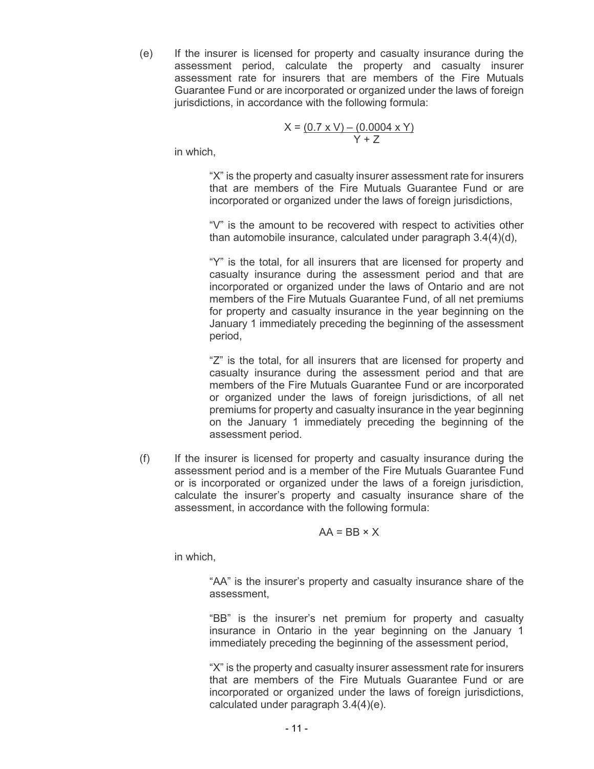$(e)$ 

 assessment period, calculate the property and casualty insurer assessment rate for insurers that are members of the Fire Mutuals Guarantee Fund or are incorporated or organized under the laws of foreign jurisdictions, in accordance with the following formula: If the insurer is licensed for property and casualty insurance during the

$$
X = (0.7 \times V) - (0.0004 \times Y)
$$
  
Y + Z

in which,

 "X" is the property and casualty insurer assessment rate for insurers that are members of the Fire Mutuals Guarantee Fund or are incorporated or organized under the laws of foreign jurisdictions,

 "V" is the amount to be recovered with respect to activities other than automobile insurance, calculated under paragraph 3.4(4)(d),

 "Y" is the total, for all insurers that are licensed for property and casualty insurance during the assessment period and that are incorporated or organized under the laws of Ontario and are not members of the Fire Mutuals Guarantee Fund, of all net premiums for property and casualty insurance in the year beginning on the January 1 immediately preceding the beginning of the assessment period,

 "Z" is the total, for all insurers that are licensed for property and casualty insurance during the assessment period and that are members of the Fire Mutuals Guarantee Fund or are incorporated or organized under the laws of foreign jurisdictions, of all net premiums for property and casualty insurance in the year beginning on the January 1 immediately preceding the beginning of the assessment period.

 $(f)$  assessment period and is a member of the Fire Mutuals Guarantee Fund or is incorporated or organized under the laws of a foreign jurisdiction, calculate the insurer's property and casualty insurance share of the assessment, in accordance with the following formula: If the insurer is licensed for property and casualty insurance during the

## $AA = BB \times X$

in which,

 "AA" is the insurer's property and casualty insurance share of the assessment,

 "BB" is the insurer's net premium for property and casualty insurance in Ontario in the year beginning on the January 1 immediately preceding the beginning of the assessment period,

 "X" is the property and casualty insurer assessment rate for insurers that are members of the Fire Mutuals Guarantee Fund or are incorporated or organized under the laws of foreign jurisdictions, calculated under paragraph 3.4(4)(e).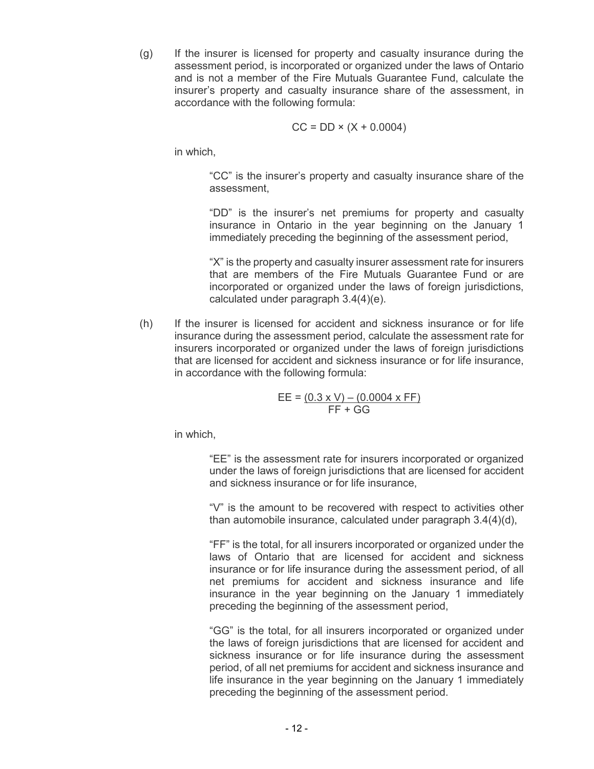$(q)$  assessment period, is incorporated or organized under the laws of Ontario and is not a member of the Fire Mutuals Guarantee Fund, calculate the insurer's property and casualty insurance share of the assessment, in accordance with the following formula: If the insurer is licensed for property and casualty insurance during the

$$
CC = DD \times (X + 0.0004)
$$

in which,

 "CC" is the insurer's property and casualty insurance share of the assessment,

 "DD" is the insurer's net premiums for property and casualty insurance in Ontario in the year beginning on the January 1 immediately preceding the beginning of the assessment period,

 "X" is the property and casualty insurer assessment rate for insurers that are members of the Fire Mutuals Guarantee Fund or are incorporated or organized under the laws of foreign jurisdictions, calculated under paragraph 3.4(4)(e).

 $(h)$  insurance during the assessment period, calculate the assessment rate for insurers incorporated or organized under the laws of foreign jurisdictions that are licensed for accident and sickness insurance or for life insurance, in accordance with the following formula: If the insurer is licensed for accident and sickness insurance or for life

$$
EE = (0.3 \times V) - (0.0004 \times FF)
$$
  
FF + GG

in which,

 "EE" is the assessment rate for insurers incorporated or organized under the laws of foreign jurisdictions that are licensed for accident and sickness insurance or for life insurance,

 "V" is the amount to be recovered with respect to activities other than automobile insurance, calculated under paragraph 3.4(4)(d),

 "FF" is the total, for all insurers incorporated or organized under the laws of Ontario that are licensed for accident and sickness insurance or for life insurance during the assessment period, of all net premiums for accident and sickness insurance and life insurance in the year beginning on the January 1 immediately preceding the beginning of the assessment period,

 "GG" is the total, for all insurers incorporated or organized under the laws of foreign jurisdictions that are licensed for accident and sickness insurance or for life insurance during the assessment period, of all net premiums for accident and sickness insurance and life insurance in the year beginning on the January 1 immediately preceding the beginning of the assessment period.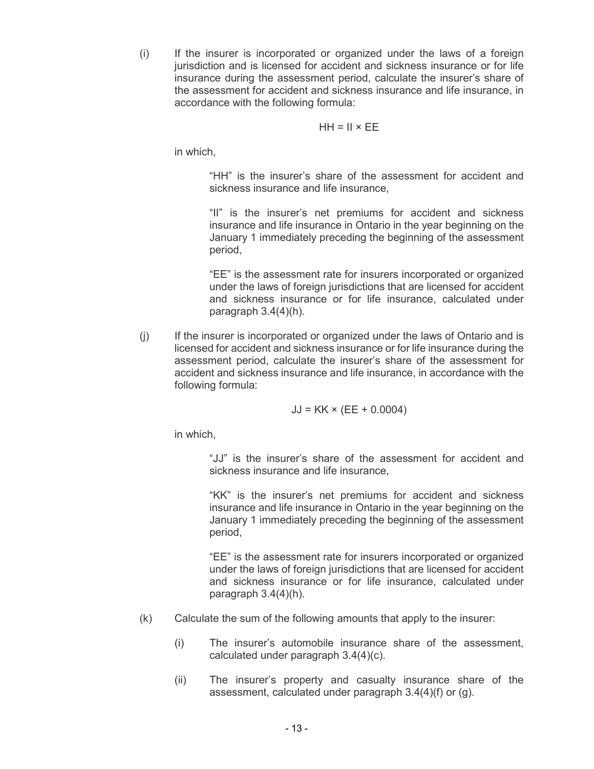$(i)$  jurisdiction and is licensed for accident and sickness insurance or for life insurance during the assessment period, calculate the insurer's share of the assessment for accident and sickness insurance and life insurance, in accordance with the following formula: If the insurer is incorporated or organized under the laws of a foreign

### $HH = II \times EE$

in which,

 "HH" is the insurer's share of the assessment for accident and sickness insurance and life insurance,

 "II" is the insurer's net premiums for accident and sickness insurance and life insurance in Ontario in the year beginning on the January 1 immediately preceding the beginning of the assessment period,

 "EE" is the assessment rate for insurers incorporated or organized under the laws of foreign jurisdictions that are licensed for accident and sickness insurance or for life insurance, calculated under paragraph 3.4(4)(h).

 $(i)$  licensed for accident and sickness insurance or for life insurance during the assessment period, calculate the insurer's share of the assessment for accident and sickness insurance and life insurance, in accordance with the following formula: If the insurer is incorporated or organized under the laws of Ontario and is

$$
JJ = KK \times (EE + 0.0004)
$$

in which,

 "JJ" is the insurer's share of the assessment for accident and sickness insurance and life insurance,

 "KK" is the insurer's net premiums for accident and sickness insurance and life insurance in Ontario in the year beginning on the January 1 immediately preceding the beginning of the assessment period,

 "EE" is the assessment rate for insurers incorporated or organized under the laws of foreign jurisdictions that are licensed for accident and sickness insurance or for life insurance, calculated under paragraph 3.4(4)(h).

- $(k)$ Calculate the sum of the following amounts that apply to the insurer:
	- $(i)$  calculated under paragraph 3.4(4)(c). The insurer's automobile insurance share of the assessment,
	- $(ii)$  assessment, calculated under paragraph 3.4(4)(f) or (g). The insurer's property and casualty insurance share of the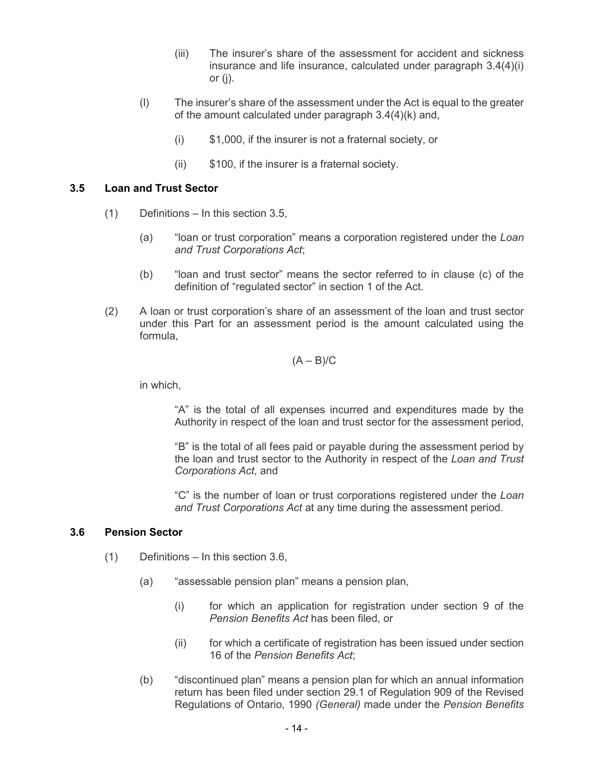- $(iii)$  insurance and life insurance, calculated under paragraph 3.4(4)(i) or (j). The insurer's share of the assessment for accident and sickness
- $(1)$  of the amount calculated under paragraph 3.4(4)(k) and, The insurer's share of the assessment under the Act is equal to the greater
	- $(i)$ \$1,000, if the insurer is not a fraternal society, or
	- $(ii)$ \$100, if the insurer is a fraternal society.

#### **3.5 Loan and Trust Sector**

- $(1)$ Definitions – In this section 3.5,
	- (a) "loan or trust corporation" means a corporation registered under the *Loan and Trust Corporations Act*;
	- (b) "loan and trust sector" means the sector referred to in clause (c) of the definition of "regulated sector" in section 1 of the Act.
- $(2)$  under this Part for an assessment period is the amount calculated using the (2) A loan or trust corporation's share of an assessment of the loan and trust sector formula,

$$
(A - B)/C
$$

in which,

 "A" is the total of all expenses incurred and expenditures made by the Authority in respect of the loan and trust sector for the assessment period,

 "B" is the total of all fees paid or payable during the assessment period by the loan and trust sector to the Authority in respect of the *Loan and Trust Corporations Act*, and

 "C" is the number of loan or trust corporations registered under the *Loan and Trust Corporations Act* at any time during the assessment period.

#### **3.6 Pension Sector**

- $(1)$ Definitions – In this section 3.6,
	- (a) "assessable pension plan" means a pension plan,
		- $(i)$  *Pension Benefits Act* has been filed, or for which an application for registration under section 9 of the
		- $(ii)$  16 of the *Pension Benefits Act*; for which a certificate of registration has been issued under section
	- (b) "discontinued plan" means a pension plan for which an annual information return has been filed under section 29.1 of Regulation 909 of the Revised Regulations of Ontario, 1990 *(General)* made under the *Pension Benefits*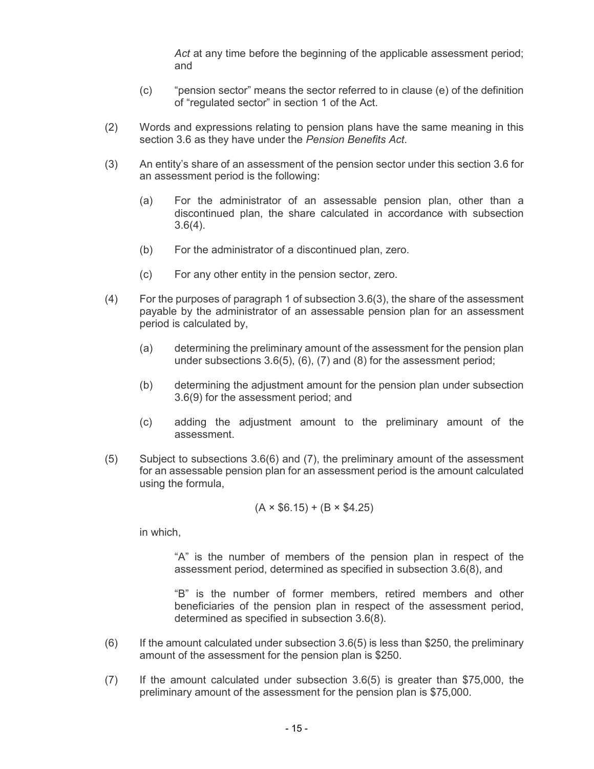*Act* at any time before the beginning of the applicable assessment period; and

- (c) "pension sector" means the sector referred to in clause (e) of the definition of "regulated sector" in section 1 of the Act.
- $(2)$  section 3.6 as they have under the *Pension Benefits Act*. Words and expressions relating to pension plans have the same meaning in this
- $(3)$  an assessment period is the following: An entity's share of an assessment of the pension sector under this section 3.6 for
	- $(a)$  discontinued plan, the share calculated in accordance with subsection For the administrator of an assessable pension plan, other than a 3.6(4).
	- $(b)$ For the administrator of a discontinued plan, zero.
	- $(c)$ For any other entity in the pension sector, zero.
- $(4)$  payable by the administrator of an assessable pension plan for an assessment period is calculated by, For the purposes of paragraph 1 of subsection  $3.6(3)$ , the share of the assessment
	- $(a)$  under subsections 3.6(5), (6), (7) and (8) for the assessment period; determining the preliminary amount of the assessment for the pension plan
	- $(b)$  3.6(9) for the assessment period; and determining the adjustment amount for the pension plan under subsection
	- $(c)$ assessment. adding the adjustment amount to the preliminary amount of the
- $(5)$  for an assessable pension plan for an assessment period is the amount calculated using the formula, Subject to subsections 3.6(6) and (7), the preliminary amount of the assessment

$$
(A \times $6.15) + (B \times $4.25)
$$

in which,

 "A" is the number of members of the pension plan in respect of the assessment period, determined as specified in subsection 3.6(8), and

 "B" is the number of former members, retired members and other beneficiaries of the pension plan in respect of the assessment period, determined as specified in subsection 3.6(8).

- $(6)$  amount of the assessment for the pension plan is \$250. If the amount calculated under subsection  $3.6(5)$  is less than \$250, the preliminary
- $(7)$  preliminary amount of the assessment for the pension plan is \$75,000. If the amount calculated under subsection  $3.6(5)$  is greater than \$75,000, the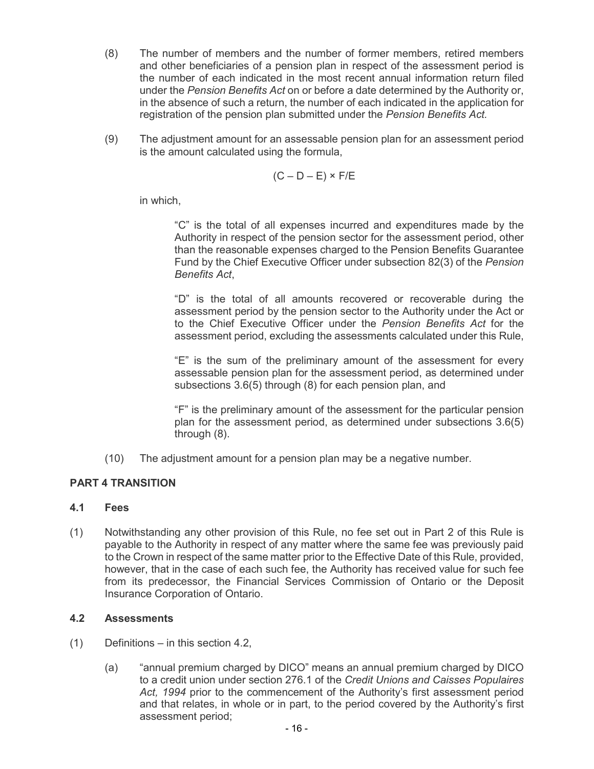- $(8)$  and other beneficiaries of a pension plan in respect of the assessment period is the number of each indicated in the most recent annual information return filed under the *Pension Benefits Act* on or before a date determined by the Authority or, in the absence of such a return, the number of each indicated in the application for registration of the pension plan submitted under the *Pension Benefits Act.*  The number of members and the number of former members, retired members
- $(9)$  is the amount calculated using the formula, The adjustment amount for an assessable pension plan for an assessment period

$$
(C - D - E) \times F/E
$$

in which,

 "C" is the total of all expenses incurred and expenditures made by the Authority in respect of the pension sector for the assessment period, other than the reasonable expenses charged to the Pension Benefits Guarantee Fund by the Chief Executive Officer under subsection 82(3) of the *Pension Benefits Act*,

 "D" is the total of all amounts recovered or recoverable during the assessment period by the pension sector to the Authority under the Act or to the Chief Executive Officer under the *Pension Benefits Act* for the assessment period, excluding the assessments calculated under this Rule,

 "E" is the sum of the preliminary amount of the assessment for every assessable pension plan for the assessment period, as determined under subsections 3.6(5) through (8) for each pension plan, and

 "F" is the preliminary amount of the assessment for the particular pension plan for the assessment period, as determined under subsections 3.6(5) through (8).

 $(10)$ The adjustment amount for a pension plan may be a negative number.

# **PART 4 TRANSITION**

#### **4.1 Fees**

 (1) Notwithstanding any other provision of this Rule, no fee set out in Part 2 of this Rule is payable to the Authority in respect of any matter where the same fee was previously paid to the Crown in respect of the same matter prior to the Effective Date of this Rule, provided, however, that in the case of each such fee, the Authority has received value for such fee from its predecessor, the Financial Services Commission of Ontario or the Deposit Insurance Corporation of Ontario.

# **4.2 Assessments**

- (1) Definitions in this section 4.2,
	- (a) "annual premium charged by DICO" means an annual premium charged by DICO to a credit union under section 276.1 of the *Credit Unions and Caisses Populaires Act, 1994* prior to the commencement of the Authority's first assessment period and that relates, in whole or in part, to the period covered by the Authority's first assessment period;